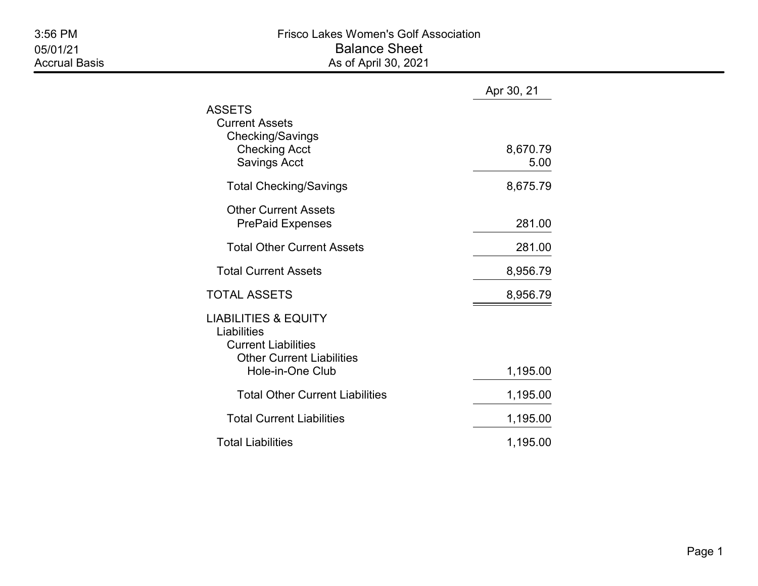|                                                                                                                                      | Apr 30, 21       |
|--------------------------------------------------------------------------------------------------------------------------------------|------------------|
| ASSETS<br><b>Current Assets</b><br>Checking/Savings<br><b>Checking Acct</b><br><b>Savings Acct</b>                                   | 8,670.79<br>5.00 |
| <b>Total Checking/Savings</b>                                                                                                        | 8,675.79         |
| <b>Other Current Assets</b><br><b>PrePaid Expenses</b>                                                                               | 281.00           |
| <b>Total Other Current Assets</b>                                                                                                    | 281.00           |
| <b>Total Current Assets</b>                                                                                                          | 8,956.79         |
| TOTAL ASSETS                                                                                                                         | 8,956.79         |
| <b>LIABILITIES &amp; EQUITY</b><br>Liabilities<br><b>Current Liabilities</b><br><b>Other Current Liabilities</b><br>Hole-in-One Club | 1,195.00         |
| <b>Total Other Current Liabilities</b>                                                                                               | 1,195.00         |
| <b>Total Current Liabilities</b>                                                                                                     | 1,195.00         |
| <b>Total Liabilities</b>                                                                                                             | 1,195.00         |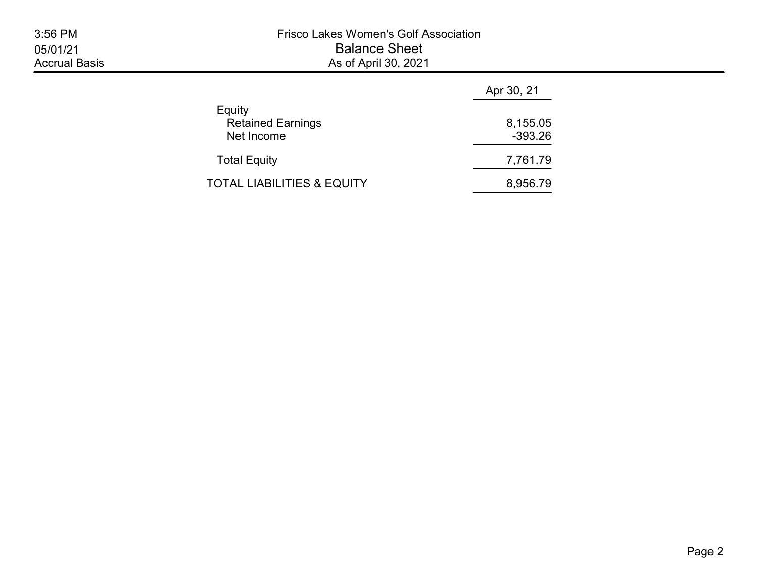|                                                  | Apr 30, 21            |  |  |
|--------------------------------------------------|-----------------------|--|--|
| Equity<br><b>Retained Earnings</b><br>Net Income | 8,155.05<br>$-393.26$ |  |  |
| <b>Total Equity</b>                              | 7,761.79              |  |  |
| TOTAL LIABILITIES & EQUITY                       | 8,956.79              |  |  |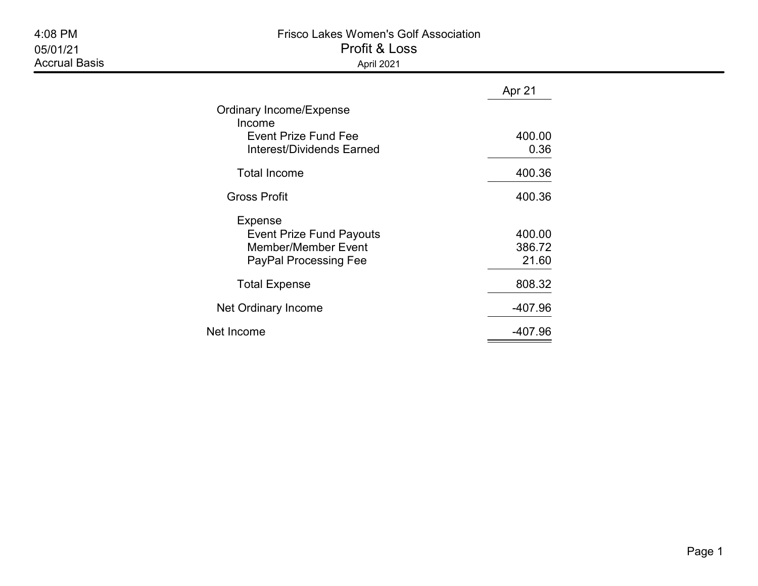| 4:08 PM<br>05/01/21<br><b>Accrual Basis</b> | <b>Frisco Lakes Women's Golf Association</b><br>Profit & Loss<br>April 2021                                     |                           |  |  |  |
|---------------------------------------------|-----------------------------------------------------------------------------------------------------------------|---------------------------|--|--|--|
|                                             |                                                                                                                 | Apr 21                    |  |  |  |
|                                             | Ordinary Income/Expense<br>Income<br><b>Event Prize Fund Fee</b><br><b>Interest/Dividends Earned</b>            | 400.00<br>0.36            |  |  |  |
|                                             | <b>Total Income</b>                                                                                             | 400.36                    |  |  |  |
|                                             | <b>Gross Profit</b>                                                                                             | 400.36                    |  |  |  |
|                                             | <b>Expense</b><br><b>Event Prize Fund Payouts</b><br><b>Member/Member Event</b><br><b>PayPal Processing Fee</b> | 400.00<br>386.72<br>21.60 |  |  |  |
|                                             | <b>Total Expense</b>                                                                                            | 808.32                    |  |  |  |
|                                             | Net Ordinary Income                                                                                             | $-407.96$                 |  |  |  |

Net Income 2007.96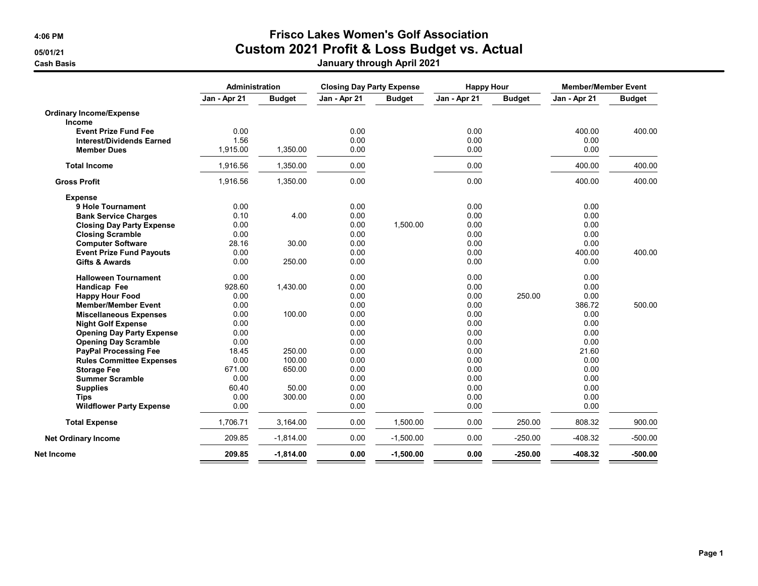## 4:06 PM Frisco Lakes Women's Golf Association 05/01/21 Custom 2021 Profit & Loss Budget vs. Actual

| January through April 2021 |
|----------------------------|
|                            |

|                                  | <b>Administration</b> |               | <b>Closing Day Party Expense</b> |               | <b>Happy Hour</b> |               | <b>Member/Member Event</b> |               |
|----------------------------------|-----------------------|---------------|----------------------------------|---------------|-------------------|---------------|----------------------------|---------------|
|                                  | Jan - Apr 21          | <b>Budget</b> | Jan - Apr 21                     | <b>Budget</b> | Jan - Apr 21      | <b>Budget</b> | Jan - Apr 21               | <b>Budget</b> |
| <b>Ordinary Income/Expense</b>   |                       |               |                                  |               |                   |               |                            |               |
| Income                           |                       |               |                                  |               |                   |               |                            |               |
| <b>Event Prize Fund Fee</b>      | 0.00                  |               | 0.00                             |               | 0.00              |               | 400.00                     | 400.00        |
| <b>Interest/Dividends Earned</b> | 1.56                  |               | 0.00                             |               | 0.00              |               | 0.00                       |               |
| <b>Member Dues</b>               | 1,915.00              | 1,350.00      | 0.00                             |               | 0.00              |               | 0.00                       |               |
| <b>Total Income</b>              | 1,916.56              | 1,350.00      | 0.00                             |               | 0.00              |               | 400.00                     | 400.00        |
| <b>Gross Profit</b>              | 1,916.56              | 1,350.00      | 0.00                             |               | 0.00              |               | 400.00                     | 400.00        |
| <b>Expense</b>                   |                       |               |                                  |               |                   |               |                            |               |
| 9 Hole Tournament                | 0.00                  |               | 0.00                             |               | 0.00              |               | 0.00                       |               |
| <b>Bank Service Charges</b>      | 0.10                  | 4.00          | 0.00                             |               | 0.00              |               | 0.00                       |               |
| <b>Closing Day Party Expense</b> | 0.00                  |               | 0.00                             | 1,500.00      | 0.00              |               | 0.00                       |               |
| <b>Closing Scramble</b>          | 0.00                  |               | 0.00                             |               | 0.00              |               | 0.00                       |               |
| <b>Computer Software</b>         | 28.16                 | 30.00         | 0.00                             |               | 0.00              |               | 0.00                       |               |
| <b>Event Prize Fund Payouts</b>  | 0.00                  |               | 0.00                             |               | 0.00              |               | 400.00                     | 400.00        |
| Gifts & Awards                   | 0.00                  | 250.00        | 0.00                             |               | 0.00              |               | 0.00                       |               |
| <b>Halloween Tournament</b>      | 0.00                  |               | 0.00                             |               | 0.00              |               | 0.00                       |               |
| Handicap Fee                     | 928.60                | 1,430.00      | 0.00                             |               | 0.00              |               | 0.00                       |               |
| <b>Happy Hour Food</b>           | 0.00                  |               | 0.00                             |               | 0.00              | 250.00        | 0.00                       |               |
| <b>Member/Member Event</b>       | 0.00                  |               | 0.00                             |               | 0.00              |               | 386.72                     | 500.00        |
| <b>Miscellaneous Expenses</b>    | 0.00                  | 100.00        | 0.00                             |               | 0.00              |               | 0.00                       |               |
| <b>Night Golf Expense</b>        | 0.00                  |               | 0.00                             |               | 0.00              |               | 0.00                       |               |
| <b>Opening Day Party Expense</b> | 0.00                  |               | 0.00                             |               | 0.00              |               | 0.00                       |               |
| <b>Opening Day Scramble</b>      | 0.00                  |               | 0.00                             |               | 0.00              |               | 0.00                       |               |
| <b>PayPal Processing Fee</b>     | 18.45                 | 250.00        | 0.00                             |               | 0.00              |               | 21.60                      |               |
| <b>Rules Committee Expenses</b>  | 0.00                  | 100.00        | 0.00                             |               | 0.00              |               | 0.00                       |               |
| <b>Storage Fee</b>               | 671.00                | 650.00        | 0.00                             |               | 0.00              |               | 0.00                       |               |
| <b>Summer Scramble</b>           | 0.00                  |               | 0.00                             |               | 0.00              |               | 0.00                       |               |
| <b>Supplies</b>                  | 60.40                 | 50.00         | 0.00                             |               | 0.00              |               | 0.00                       |               |
| <b>Tips</b>                      | 0.00                  | 300.00        | 0.00                             |               | 0.00              |               | 0.00                       |               |
| <b>Wildflower Party Expense</b>  | 0.00                  |               | 0.00                             |               | 0.00              |               | 0.00                       |               |
| <b>Total Expense</b>             | 1,706.71              | 3,164.00      | 0.00                             | 1,500.00      | 0.00              | 250.00        | 808.32                     | 900.00        |
| <b>Net Ordinary Income</b>       | 209.85                | $-1,814.00$   | 0.00                             | $-1,500.00$   | 0.00              | $-250.00$     | $-408.32$                  | $-500.00$     |
| Net Income                       | 209.85                | $-1,814.00$   | 0.00                             | $-1,500.00$   | 0.00              | $-250.00$     | -408.32                    | $-500.00$     |